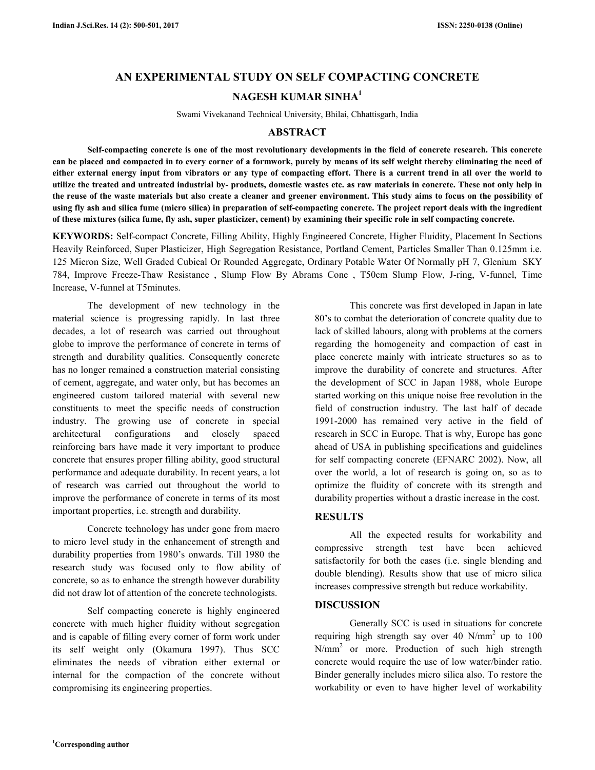# **AN EXPERIMENTAL STUDY ON SELF COMPACTING CONCRETE NAGESH KUMAR SINHA<sup>1</sup>**

Swami Vivekanand Technical University, Bhilai, Chhattisgarh, India

#### **ABSTRACT**

 **Self-compacting concrete is one of the most revolutionary developments in the field of concrete research. This concrete can be placed and compacted in to every corner of a formwork, purely by means of its self weight thereby eliminating the need of either external energy input from vibrators or any type of compacting effort. There is a current trend in all over the world to utilize the treated and untreated industrial by- products, domestic wastes etc. as raw materials in concrete. These not only help in the reuse of the waste materials but also create a cleaner and greener environment. This study aims to focus on the possibility of using fly ash and silica fume (micro silica) in preparation of self-compacting concrete. The project report deals with the ingredient of these mixtures (silica fume, fly ash, super plasticizer, cement) by examining their specific role in self compacting concrete.** 

**KEYWORDS:** Self-compact Concrete, Filling Ability, Highly Engineered Concrete, Higher Fluidity, Placement In Sections Heavily Reinforced, Super Plasticizer, High Segregation Resistance, Portland Cement, Particles Smaller Than 0.125mm i.e. 125 Micron Size, Well Graded Cubical Or Rounded Aggregate, Ordinary Potable Water Of Normally pH 7, Glenium SKY 784, Improve Freeze-Thaw Resistance , Slump Flow By Abrams Cone , T50cm Slump Flow, J-ring, V-funnel, Time Increase, V-funnel at T5minutes.

 The development of new technology in the material science is progressing rapidly. In last three decades, a lot of research was carried out throughout globe to improve the performance of concrete in terms of strength and durability qualities. Consequently concrete has no longer remained a construction material consisting of cement, aggregate, and water only, but has becomes an engineered custom tailored material with several new constituents to meet the specific needs of construction industry. The growing use of concrete in special architectural configurations and closely spaced reinforcing bars have made it very important to produce concrete that ensures proper filling ability, good structural performance and adequate durability. In recent years, a lot of research was carried out throughout the world to improve the performance of concrete in terms of its most important properties, i.e. strength and durability.

 Concrete technology has under gone from macro to micro level study in the enhancement of strength and durability properties from 1980's onwards. Till 1980 the research study was focused only to flow ability of concrete, so as to enhance the strength however durability did not draw lot of attention of the concrete technologists.

 Self compacting concrete is highly engineered concrete with much higher fluidity without segregation and is capable of filling every corner of form work under its self weight only (Okamura 1997). Thus SCC eliminates the needs of vibration either external or internal for the compaction of the concrete without compromising its engineering properties.

 This concrete was first developed in Japan in late 80's to combat the deterioration of concrete quality due to lack of skilled labours, along with problems at the corners regarding the homogeneity and compaction of cast in place concrete mainly with intricate structures so as to improve the durability of concrete and structures. After the development of SCC in Japan 1988, whole Europe started working on this unique noise free revolution in the field of construction industry. The last half of decade 1991-2000 has remained very active in the field of research in SCC in Europe. That is why, Europe has gone ahead of USA in publishing specifications and guidelines for self compacting concrete (EFNARC 2002). Now, all over the world, a lot of research is going on, so as to optimize the fluidity of concrete with its strength and durability properties without a drastic increase in the cost.

## **RESULTS**

 All the expected results for workability and compressive strength test have been achieved satisfactorily for both the cases (i.e. single blending and double blending). Results show that use of micro silica increases compressive strength but reduce workability.

## **DISCUSSION**

 Generally SCC is used in situations for concrete requiring high strength say over 40  $N/mm^2$  up to 100 N/mm<sup>2</sup> or more. Production of such high strength concrete would require the use of low water/binder ratio. Binder generally includes micro silica also. To restore the workability or even to have higher level of workability